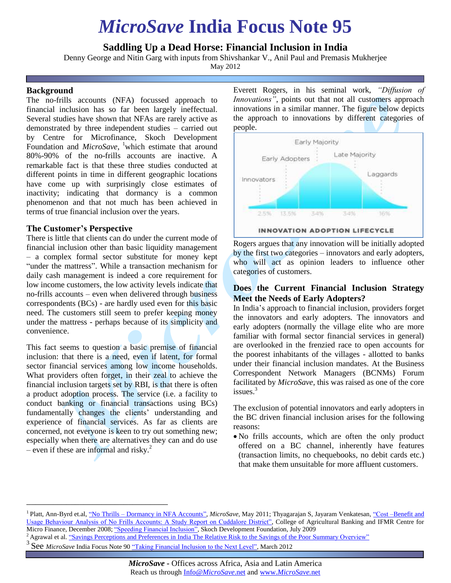# *MicroSave* **India Focus Note 95**

# **Saddling Up a Dead Horse: Financial Inclusion in India**

Denny George and Nitin Garg with inputs from Shivshankar V., Anil Paul and Premasis Mukherjee

May 2012

#### **Background**

The no-frills accounts (NFA) focussed approach to financial inclusion has so far been largely ineffectual. Several studies have shown that NFAs are rarely active as demonstrated by three independent studies – carried out by Centre for Microfinance, Skoch Development Foundation and *MicroSave*, <sup>1</sup>which estimate that around 80%-90% of the no-frills accounts are inactive. A remarkable fact is that these three studies conducted at different points in time in different geographic locations have come up with surprisingly close estimates of inactivity; indicating that dormancy is a common phenomenon and that not much has been achieved in terms of true financial inclusion over the years.

#### **The Customer's Perspective**

There is little that clients can do under the current mode of financial inclusion other than basic liquidity management – a complex formal sector substitute for money kept "under the mattress". While a transaction mechanism for daily cash management is indeed a core requirement for low income customers, the low activity levels indicate that no-frills accounts – even when delivered through business correspondents (BCs) - are hardly used even for this basic need. The customers still seem to prefer keeping money under the mattress - perhaps because of its simplicity and convenience.

This fact seems to question a basic premise of financial inclusion: that there is a need, even if latent, for formal sector financial services among low income households. What providers often forget, in their zeal to achieve the financial inclusion targets set by RBI, is that there is often a product adoption process. The service (i.e. a facility to conduct banking or financial transactions using BCs) fundamentally changes the clients' understanding and experience of financial services. As far as clients are concerned, not everyone is keen to try out something new; especially when there are alternatives they can and do use – even if these are informal and risky.<sup>2</sup>

\_\_\_\_\_\_\_\_\_\_\_\_\_\_\_\_\_\_\_\_\_\_\_\_\_\_\_\_\_\_\_\_

Everett Rogers, in his seminal work, *"Diffusion of Innovations"*, points out that not all customers approach innovations in a similar manner. The figure below depicts the approach to innovations by different categories of people.



Rogers argues that any innovation will be initially adopted by the first two categories – innovators and early adopters, who will act as opinion leaders to influence other categories of customers.

## **Does the Current Financial Inclusion Strategy Meet the Needs of Early Adopters?**

In India's approach to financial inclusion, providers forget the innovators and early adopters. The innovators and early adopters (normally the village elite who are more familiar with formal sector financial services in general) are overlooked in the frenzied race to open accounts for the poorest inhabitants of the villages - allotted to banks under their financial inclusion mandates. At the Business Correspondent Network Managers (BCNMs) Forum facilitated by *MicroSave,* this was raised as one of the core issues $3$ 

The exclusion of potential innovators and early adopters in the BC driven financial inclusion arises for the following reasons:

 No frills accounts, which are often the only product offered on a BC channel, inherently have features (transaction limits, no chequebooks, no debit cards etc.) that make them unsuitable for more affluent customers.

<sup>&</sup>lt;sup>1</sup> Platt, Ann-Byrd et.al, <u>"No Thrills – Dormancy in NFA Accounts"</u>, *MicroSave*, May 2011; Thyagarajan S, Jayaram Venkatesan, "Cost –Benefit and [Usage Behaviour Analysis of No Frills Accounts: A Study Report on Cuddalore District",](http://ifmr.ac.in/cmf/news/Thyagarajan_No%20Frills_Cuddalore.pdf) College of Agricultural Banking and IFMR Centre for Micro Finance, December 2008[; "Speeding Financial Inclusion",](http://www.skoch.in/SDF/National_Study_on_Speeding_Financial_Inclusion_Key_Recommendations.pdf) Skoch Development Foundation, July 2009

<sup>&</sup>lt;sup>2</sup> Agrawal et al[. "Savings Perceptions and Preferences in India The Relative Risk to the Savings of the Poor Summary Overview"](http://microsave.org/sites/default/files/research_papers/Summary-The_Relative_Risk_to_the_Savings_of_the_Poor.pdf)

<sup>&</sup>lt;sup>3</sup> See *MicroSave* India Focus Note 90 ["Taking Financial Inclusion to the Next Level",](http://microsave.org/briefing_notes/india-focus-note-90-taking-financial-inclusion-to-the-next-level) March 2012